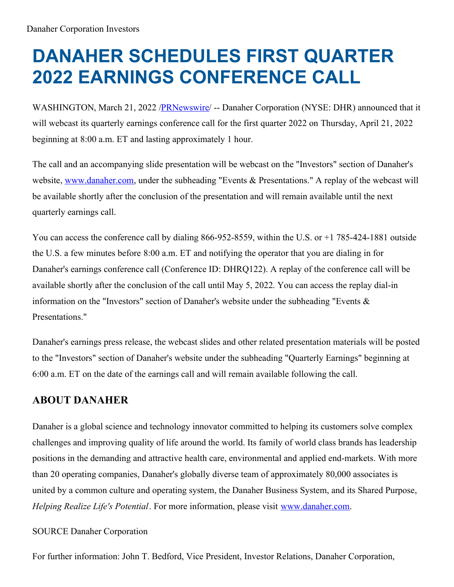## **DANAHER SCHEDULES FIRST QUARTER 2022 EARNINGS CONFERENCE CALL**

WASHINGTON, March 21, 2022 [/PRNewswire](http://www.prnewswire.com/)/ -- Danaher Corporation (NYSE: DHR) announced that it will webcast its quarterly earnings conference call for the first quarter 2022 on Thursday, April 21, 2022 beginning at 8:00 a.m. ET and lasting approximately 1 hour.

The call and an accompanying slide presentation will be webcast on the "Investors" section of Danaher's website, [www.danaher.com](https://c212.net/c/link/?t=0&l=en&o=3479100-1&h=3437539836&u=http%3A%2F%2Fwww.danaher.com%2F&a=www.danaher.com), under the subheading "Events & Presentations." A replay of the webcast will be available shortly after the conclusion of the presentation and will remain available until the next quarterly earnings call.

You can access the conference call by dialing 866-952-8559, within the U.S. or +1 785-424-1881 outside the U.S. a few minutes before 8:00 a.m. ET and notifying the operator that you are dialing in for Danaher's earnings conference call (Conference ID: DHRQ122). A replay of the conference call will be available shortly after the conclusion of the call until May 5, 2022. You can access the replay dial-in information on the "Investors" section of Danaher's website under the subheading "Events & Presentations."

Danaher's earnings press release, the webcast slides and other related presentation materials will be posted to the "Investors" section of Danaher's website under the subheading "Quarterly Earnings" beginning at 6:00 a.m. ET on the date of the earnings call and will remain available following the call.

## **ABOUT DANAHER**

Danaher is a global science and technology innovator committed to helping its customers solve complex challenges and improving quality of life around the world. Its family of world class brands has leadership positions in the demanding and attractive health care, environmental and applied end-markets. With more than 20 operating companies, Danaher's globally diverse team of approximately 80,000 associates is united by a common culture and operating system, the Danaher Business System, and its Shared Purpose, *Helping Realize Life's Potential*. For more information, please visit [www.danaher.com](https://c212.net/c/link/?t=0&l=en&o=3479100-1&h=3437539836&u=http%3A%2F%2Fwww.danaher.com%2F&a=www.danaher.com).

## SOURCE Danaher Corporation

For further information: John T. Bedford, Vice President, Investor Relations, Danaher Corporation,